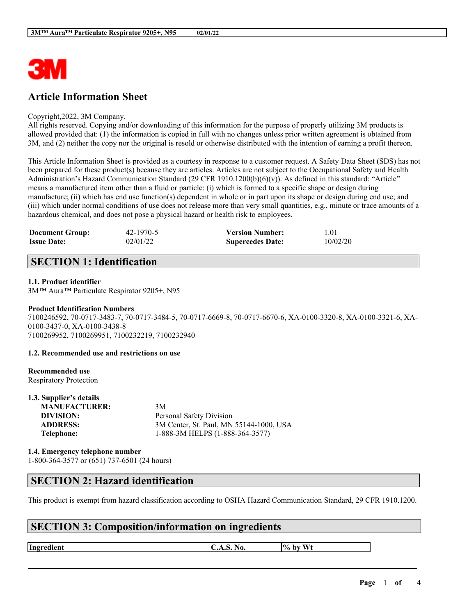

# **Article Information Sheet**

#### Copyright,2022, 3M Company.

All rights reserved. Copying and/or downloading of this information for the purpose of properly utilizing 3M products is allowed provided that: (1) the information is copied in full with no changes unless prior written agreement is obtained from 3M, and (2) neither the copy nor the original is resold or otherwise distributed with the intention of earning a profit thereon.

This Article Information Sheet is provided as a courtesy in response to a customer request. A Safety Data Sheet (SDS) has not been prepared for these product(s) because they are articles. Articles are not subject to the Occupational Safety and Health Administration's Hazard Communication Standard (29 CFR 1910.1200(b)(6)(v)). As defined in this standard: "Article" means a manufactured item other than a fluid or particle: (i) which is formed to a specific shape or design during manufacture; (ii) which has end use function(s) dependent in whole or in part upon its shape or design during end use; and (iii) which under normal conditions of use does not release more than very small quantities, e.g., minute or trace amounts of a hazardous chemical, and does not pose a physical hazard or health risk to employees.

| <b>Document Group:</b> | 42-1970-5 | <b>Version Number:</b>  | l.O1     |
|------------------------|-----------|-------------------------|----------|
| <b>Issue Date:</b>     | 02/01/22  | <b>Supercedes Date:</b> | 10/02/20 |

### **SECTION 1: Identification**

#### **1.1. Product identifier**

3M™ Aura™ Particulate Respirator 9205+, N95

#### **Product Identification Numbers**

7100246592, 70-0717-3483-7, 70-0717-3484-5, 70-0717-6669-8, 70-0717-6670-6, XA-0100-3320-8, XA-0100-3321-6, XA-0100-3437-0, XA-0100-3438-8 7100269952, 7100269951, 7100232219, 7100232940

#### **1.2. Recommended use and restrictions on use**

# **Recommended use**

Respiratory Protection **1.3. Supplier's details**

| 1.3. Supplier's details |                                         |
|-------------------------|-----------------------------------------|
| <b>MANUFACTURER:</b>    | 3M                                      |
| DIVISION:               | Personal Safety Division                |
| <b>ADDRESS:</b>         | 3M Center, St. Paul, MN 55144-1000, USA |
| Telephone:              | 1-888-3M HELPS (1-888-364-3577)         |
|                         |                                         |

**1.4. Emergency telephone number** 1-800-364-3577 or (651) 737-6501 (24 hours)

### **SECTION 2: Hazard identification**

This product is exempt from hazard classification according to OSHA Hazard Communication Standard, 29 CFR 1910.1200.

 $\mathcal{L}_\mathcal{L} = \mathcal{L}_\mathcal{L} = \mathcal{L}_\mathcal{L} = \mathcal{L}_\mathcal{L} = \mathcal{L}_\mathcal{L} = \mathcal{L}_\mathcal{L} = \mathcal{L}_\mathcal{L} = \mathcal{L}_\mathcal{L} = \mathcal{L}_\mathcal{L} = \mathcal{L}_\mathcal{L} = \mathcal{L}_\mathcal{L} = \mathcal{L}_\mathcal{L} = \mathcal{L}_\mathcal{L} = \mathcal{L}_\mathcal{L} = \mathcal{L}_\mathcal{L} = \mathcal{L}_\mathcal{L} = \mathcal{L}_\mathcal{L}$ 

# **SECTION 3: Composition/information on ingredients**

**Ingredient C.A.S.** No.  $\begin{bmatrix} \phi & \phi \end{bmatrix}$  by Wt

**Page** 1 **of** 4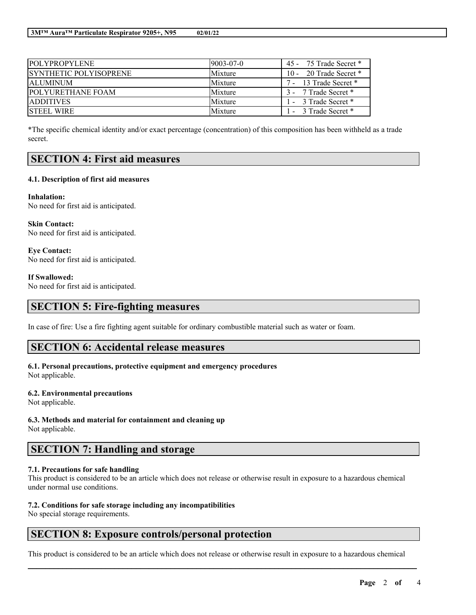| <b>POLYPROPYLENE</b>          | $19003 - 07 - 0$ | 45 - 75 Trade Secret * |
|-------------------------------|------------------|------------------------|
| <b>SYNTHETIC POLYISOPRENE</b> | Mixture          | 10 - 20 Trade Secret * |
| <b>ALUMINUM</b>               | Mixture          | 7 - 13 Trade Secret *  |
| <b>POLYURETHANE FOAM</b>      | Mixture          | 3 - 7 Trade Secret *   |
| <b>ADDITIVES</b>              | Mixture          | 1 - 3 Trade Secret *   |
| <b>STEEL WIRE</b>             | Mixture          | 1 - 3 Trade Secret *   |

\*The specific chemical identity and/or exact percentage (concentration) of this composition has been withheld as a trade secret.

### **SECTION 4: First aid measures**

#### **4.1. Description of first aid measures**

**Inhalation:** No need for first aid is anticipated.

**Skin Contact:** No need for first aid is anticipated.

**Eye Contact:** No need for first aid is anticipated.

**If Swallowed:** No need for first aid is anticipated.

### **SECTION 5: Fire-fighting measures**

In case of fire: Use a fire fighting agent suitable for ordinary combustible material such as water or foam.

### **SECTION 6: Accidental release measures**

#### **6.1. Personal precautions, protective equipment and emergency procedures** Not applicable.

#### **6.2. Environmental precautions**

Not applicable.

**6.3. Methods and material for containment and cleaning up**

Not applicable.

### **SECTION 7: Handling and storage**

#### **7.1. Precautions for safe handling**

This product is considered to be an article which does not release or otherwise result in exposure to a hazardous chemical under normal use conditions.

#### **7.2. Conditions for safe storage including any incompatibilities**

No special storage requirements.

# **SECTION 8: Exposure controls/personal protection**

This product is considered to be an article which does not release or otherwise result in exposure to a hazardous chemical

 $\mathcal{L}_\mathcal{L} = \mathcal{L}_\mathcal{L} = \mathcal{L}_\mathcal{L} = \mathcal{L}_\mathcal{L} = \mathcal{L}_\mathcal{L} = \mathcal{L}_\mathcal{L} = \mathcal{L}_\mathcal{L} = \mathcal{L}_\mathcal{L} = \mathcal{L}_\mathcal{L} = \mathcal{L}_\mathcal{L} = \mathcal{L}_\mathcal{L} = \mathcal{L}_\mathcal{L} = \mathcal{L}_\mathcal{L} = \mathcal{L}_\mathcal{L} = \mathcal{L}_\mathcal{L} = \mathcal{L}_\mathcal{L} = \mathcal{L}_\mathcal{L}$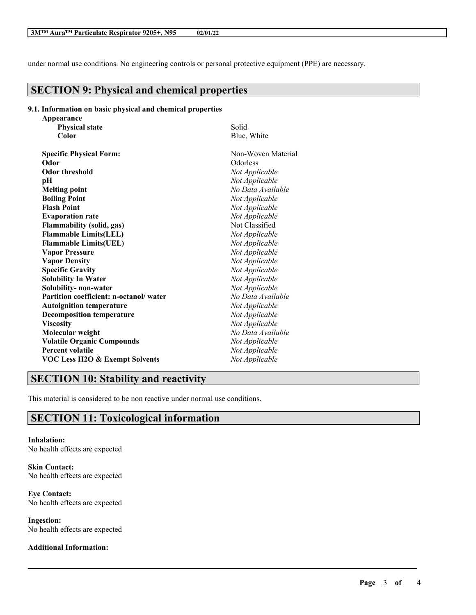under normal use conditions. No engineering controls or personal protective equipment (PPE) are necessary.

# **SECTION 9: Physical and chemical properties**

#### **9.1. Information on basic physical and chemical properties**

| Appearance                                |                    |
|-------------------------------------------|--------------------|
| <b>Physical state</b>                     | Solid              |
| Color                                     | Blue, White        |
| <b>Specific Physical Form:</b>            | Non-Woven Material |
| Odor                                      | Odorless           |
| <b>Odor threshold</b>                     | Not Applicable     |
| рH                                        | Not Applicable     |
| <b>Melting point</b>                      | No Data Available  |
| <b>Boiling Point</b>                      | Not Applicable     |
| <b>Flash Point</b>                        | Not Applicable     |
| <b>Evaporation rate</b>                   | Not Applicable     |
| <b>Flammability (solid, gas)</b>          | Not Classified     |
| <b>Flammable Limits(LEL)</b>              | Not Applicable     |
| <b>Flammable Limits(UEL)</b>              | Not Applicable     |
| <b>Vapor Pressure</b>                     | Not Applicable     |
| <b>Vapor Density</b>                      | Not Applicable     |
| <b>Specific Gravity</b>                   | Not Applicable     |
| <b>Solubility In Water</b>                | Not Applicable     |
| Solubility- non-water                     | Not Applicable     |
| Partition coefficient: n-octanol/water    | No Data Available  |
| <b>Autoignition temperature</b>           | Not Applicable     |
| <b>Decomposition temperature</b>          | Not Applicable     |
| <b>Viscosity</b>                          | Not Applicable     |
| Molecular weight                          | No Data Available  |
| <b>Volatile Organic Compounds</b>         | Not Applicable     |
| <b>Percent volatile</b>                   | Not Applicable     |
| <b>VOC Less H2O &amp; Exempt Solvents</b> | Not Applicable     |

# **SECTION 10: Stability and reactivity**

This material is considered to be non reactive under normal use conditions.

 $\mathcal{L}_\mathcal{L} = \mathcal{L}_\mathcal{L} = \mathcal{L}_\mathcal{L} = \mathcal{L}_\mathcal{L} = \mathcal{L}_\mathcal{L} = \mathcal{L}_\mathcal{L} = \mathcal{L}_\mathcal{L} = \mathcal{L}_\mathcal{L} = \mathcal{L}_\mathcal{L} = \mathcal{L}_\mathcal{L} = \mathcal{L}_\mathcal{L} = \mathcal{L}_\mathcal{L} = \mathcal{L}_\mathcal{L} = \mathcal{L}_\mathcal{L} = \mathcal{L}_\mathcal{L} = \mathcal{L}_\mathcal{L} = \mathcal{L}_\mathcal{L}$ 

# **SECTION 11: Toxicological information**

**Inhalation:** No health effects are expected

**Skin Contact:** No health effects are expected

**Eye Contact:** No health effects are expected

**Ingestion:** No health effects are expected

#### **Additional Information:**